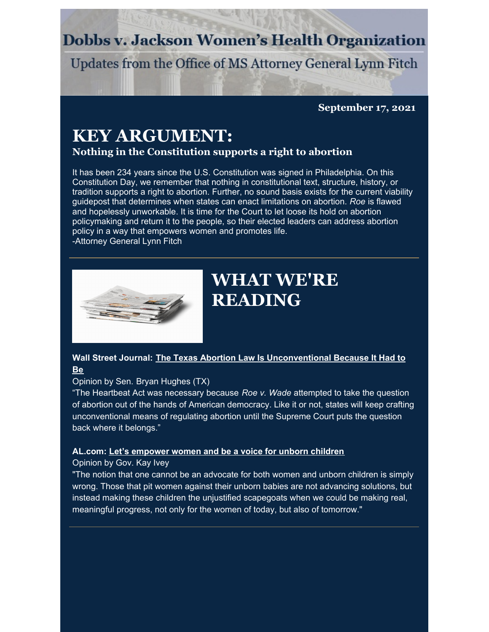## **Dobbs v. Jackson Women's Health Organization**

Updates from the Office of MS Attorney General Lynn Fitch

**September 17, 2021**

# **KEY ARGUMENT:**

**Nothing in the Constitution supports a right to abortion**

It has been 234 years since the U.S. Constitution was signed in Philadelphia. On this Constitution Day, we remember that nothing in constitutional text, structure, history, or tradition supports a right to abortion. Further, no sound basis exists for the current viability guidepost that determines when states can enact limitations on abortion. *Roe* is flawed and hopelessly unworkable. It is time for the Court to let loose its hold on abortion policymaking and return it to the people, so their elected leaders can address abortion policy in a way that empowers women and promotes life.

-Attorney General Lynn Fitch



# **WHAT WE'RE READING**

### **Wall Street Journal: The Texas Abortion Law Is [Unconventional](https://www.wsj.com/articles/texas-abortion-law-unconventional-lawsuit-pro-life-roe-v-wade-heartbeat-six-weeks-11631471508) Because It Had to Be**

#### Opinion by Sen. Bryan Hughes (TX)

"The Heartbeat Act was necessary because *Roe v. Wade* attempted to take the question of abortion out of the hands of American democracy. Like it or not, states will keep crafting unconventional means of regulating abortion until the Supreme Court puts the question back where it belongs."

#### **AL.com: Let's [empower](https://www.al.com/opinion/2021/09/gov-kay-ivey-lets-empower-women-and-be-a-voice-for-unborn-children.html) women and be a voice for unborn children**

#### Opinion by Gov. Kay Ivey

"The notion that one cannot be an advocate for both women and unborn children is simply wrong. Those that pit women against their unborn babies are not advancing solutions, but instead making these children the unjustified scapegoats when we could be making real, meaningful progress, not only for the women of today, but also of tomorrow."